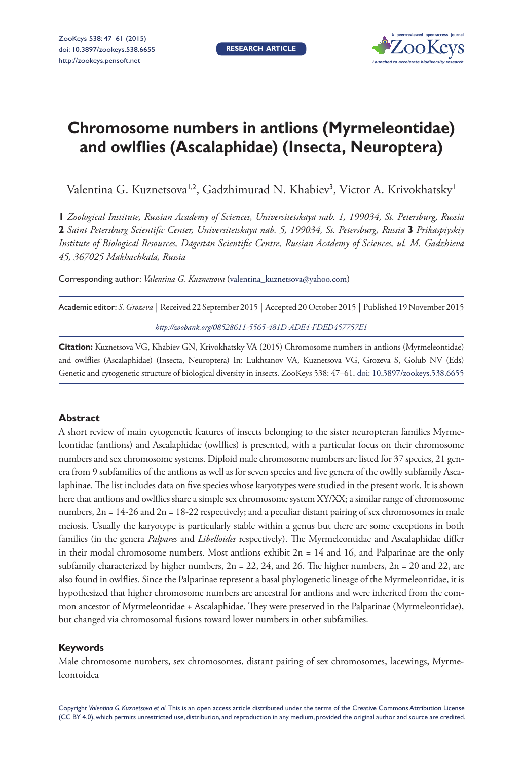**RESEARCH ARTICLE**



# **Chromosome numbers in antlions (Myrmeleontidae) and owlflies (Ascalaphidae) (Insecta, Neuroptera)**

Valentina G. Kuznetsova<sup>1,2</sup>, Gadzhimurad N. Khabiev<sup>3</sup>, Victor A. Krivokhatsky<sup>1</sup>

**1** *Zoological Institute, Russian Academy of Sciences, Universitetskaya nab. 1, 199034, St. Petersburg, Russia*  **2** *Saint Petersburg Scientific Center, Universitetskaya nab. 5, 199034, St. Petersburg, Russia* **3** *Prikaspiyskiy Institute of Biological Resources, Dagestan Scientific Centre, Russian Academy of Sciences, ul. M. Gadzhieva 45, 367025 Makhachkala, Russia*

Corresponding author: *Valentina G. Kuznetsova* ([valentina\\_kuznetsova@yahoo.com](mailto:valentina_kuznetsova@yahoo.com))

| Academic editor: S. Grozeva   Received 22 September 2015   Accepted 20 October 2015   Published 19 November 2015 |
|------------------------------------------------------------------------------------------------------------------|
| http://zoobank.org/08528611-5565-481D-ADE4-FDED457757E1                                                          |

**Citation:** Kuznetsova VG, Khabiev GN, Krivokhatsky VA (2015) Chromosome numbers in antlions (Myrmeleontidae) and owlflies (Ascalaphidae) (Insecta, Neuroptera) In: Lukhtanov VA, Kuznetsova VG, Grozeva S, Golub NV (Eds) Genetic and cytogenetic structure of biological diversity in insects. ZooKeys 538: 47–61. [doi: 10.3897/zookeys.538.6655](http://dx.doi.org/10.3897/zookeys.538.6655)

## **Abstract**

A short review of main cytogenetic features of insects belonging to the sister neuropteran families Myrmeleontidae (antlions) and Ascalaphidae (owlflies) is presented, with a particular focus on their chromosome numbers and sex chromosome systems. Diploid male chromosome numbers are listed for 37 species, 21 genera from 9 subfamilies of the antlions as well as for seven species and five genera of the owlfly subfamily Ascalaphinae. The list includes data on five species whose karyotypes were studied in the present work. It is shown here that antlions and owlflies share a simple sex chromosome system XY/XX; a similar range of chromosome numbers,  $2n = 14-26$  and  $2n = 18-22$  respectively; and a peculiar distant pairing of sex chromosomes in male meiosis. Usually the karyotype is particularly stable within a genus but there are some exceptions in both families (in the genera *Palpares* and *Libelloides* respectively). The Myrmeleontidae and Ascalaphidae differ in their modal chromosome numbers. Most antlions exhibit  $2n = 14$  and 16, and Palparinae are the only subfamily characterized by higher numbers,  $2n = 22$ ,  $24$ , and  $26$ . The higher numbers,  $2n = 20$  and  $22$ , are also found in owlflies. Since the Palparinae represent a basal phylogenetic lineage of the Myrmeleontidae, it is hypothesized that higher chromosome numbers are ancestral for antlions and were inherited from the common ancestor of Myrmeleontidae + Ascalaphidae. They were preserved in the Palparinae (Myrmeleontidae), but changed via chromosomal fusions toward lower numbers in other subfamilies.

## **Keywords**

Male chromosome numbers, sex chromosomes, distant pairing of sex chromosomes, lacewings, Myrmeleontoidea

Copyright *Valentina G. Kuznetsova et al.* This is an open access article distributed under the terms of the [Creative Commons Attribution License](http://creativecommons.org/licenses/by/4.0/)  [\(CC BY 4.0\)](http://creativecommons.org/licenses/by/4.0/), which permits unrestricted use, distribution, and reproduction in any medium, provided the original author and source are credited.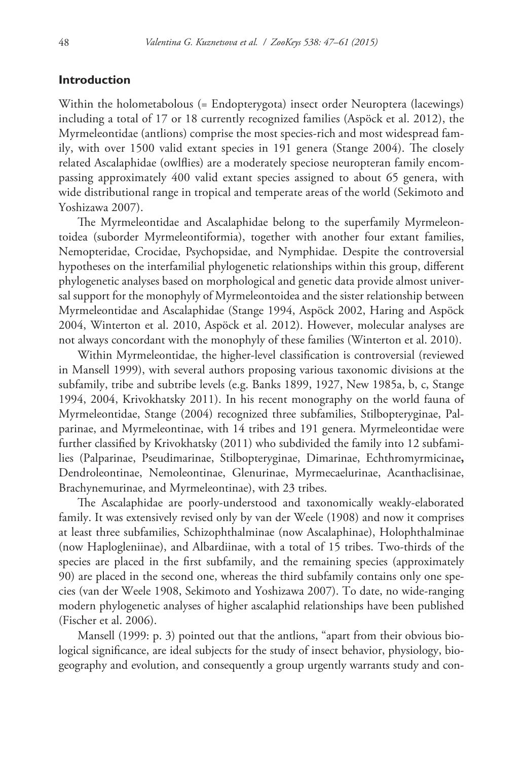# **Introduction**

Within the holometabolous (= Endopterygota) insect order Neuroptera (lacewings) including a total of 17 or 18 currently recognized families (Aspöck et al. 2012), the Myrmeleontidae (antlions) comprise the most species-rich and most widespread family, with over 1500 valid extant species in 191 genera (Stange 2004). The closely related Ascalaphidae (owlflies) are a moderately speciose neuropteran family encompassing approximately 400 valid extant species assigned to about 65 genera, with wide distributional range in tropical and temperate areas of the world (Sekimoto and Yoshizawa 2007).

The Myrmeleontidae and Ascalaphidae belong to the superfamily Myrmeleontoidea (suborder Myrmeleontiformia), together with another four extant families, Nemopteridae, Crocidae, Psychopsidae, and Nymphidae. Despite the controversial hypotheses on the interfamilial phylogenetic relationships within this group, different phylogenetic analyses based on morphological and genetic data provide almost universal support for the monophyly of Myrmeleontoidea and the sister relationship between Myrmeleontidae and Ascalaphidae (Stange 1994, Aspöck 2002, Haring and Aspöck 2004, Winterton et al. 2010, Aspöck et al. 2012). However, molecular analyses are not always concordant with the monophyly of these families (Winterton et al. 2010).

Within Myrmeleontidae, the higher-level classification is controversial (reviewed in Mansell 1999), with several authors proposing various taxonomic divisions at the subfamily, tribe and subtribe levels (e.g. Banks 1899, 1927, New 1985a, b, c, Stange 1994, 2004, Krivokhatsky 2011). In his recent monography on the world fauna of Myrmeleontidae, Stange (2004) recognized three subfamilies, Stilbopteryginae, Palparinae, and Myrmeleontinae, with 14 tribes and 191 genera. Myrmeleontidae were further classified by Krivokhatsky (2011) who subdivided the family into 12 subfamilies (Palparinae, Pseudimarinae, Stilbopteryginae, Dimarinae, Echthromyrmicinae**,** Dendroleontinae, Nemoleontinae, Glenurinae, Myrmecaelurinae, Acanthaclisinae, Brachynemurinae, and Myrmeleontinae), with 23 tribes.

The Ascalaphidae are poorly-understood and taxonomically weakly-elaborated family. It was extensively revised only by van der Weele (1908) and now it comprises at least three subfamilies, Schizophthalminae (now Ascalaphinae), Holophthalminae (now Haplogleniinae), and Albardiinae, with a total of 15 tribes. Two-thirds of the species are placed in the first subfamily, and the remaining species (approximately 90) are placed in the second one, whereas the third subfamily contains only one species (van der Weele 1908, Sekimoto and Yoshizawa 2007). To date, no wide-ranging modern phylogenetic analyses of higher ascalaphid relationships have been published (Fischer et al. 2006).

Mansell (1999: p. 3) pointed out that the antlions, "apart from their obvious biological significance, are ideal subjects for the study of insect behavior, physiology, biogeography and evolution, and consequently a group urgently warrants study and con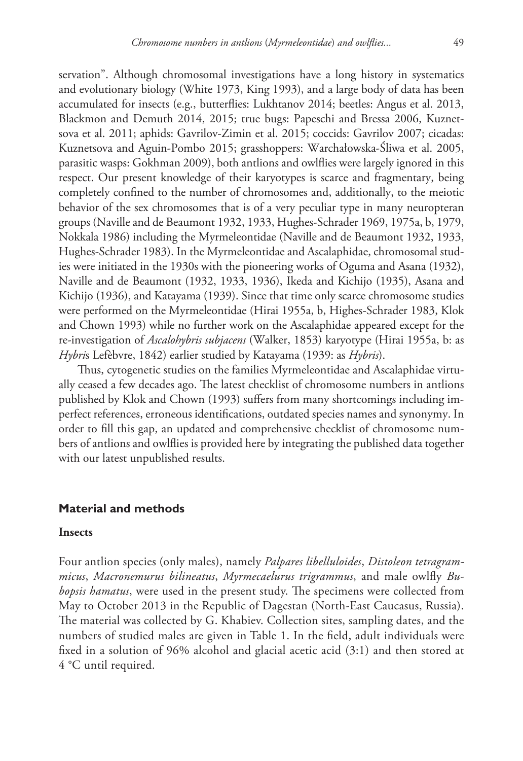servation". Although chromosomal investigations have a long history in systematics and evolutionary biology (White 1973, King 1993), and a large body of data has been accumulated for insects (e.g., butterflies: Lukhtanov 2014; beetles: Angus et al. 2013, Blackmon and Demuth 2014, 2015; true bugs: Papeschi and Bressa 2006, Kuznetsova et al. 2011; aphids: Gavrilov-Zimin et al. 2015; coccids: Gavrilov 2007; cicadas: Kuznetsova and Aguin-Pombo 2015; grasshoppers: Warchałowska-Śliwa et al. 2005, parasitic wasps: Gokhman 2009), both antlions and owlflies were largely ignored in this respect. Our present knowledge of their karyotypes is scarce and fragmentary, being completely confined to the number of chromosomes and, additionally, to the meiotic behavior of the sex chromosomes that is of a very peculiar type in many neuropteran groups (Naville and de Beaumont 1932, 1933, Hughes-Schrader 1969, 1975a, b, 1979, Nokkala 1986) including the Myrmeleontidae (Naville and de Beaumont 1932, 1933, Hughes-Schrader 1983). In the Myrmeleontidae and Ascalaphidae, chromosomal studies were initiated in the 1930s with the pioneering works of Oguma and Asana (1932), Naville and de Beaumont (1932, 1933, 1936), Ikeda and Kichijo (1935), Asana and Kichijo (1936), and Katayama (1939). Since that time only scarce chromosome studies were performed on the Myrmeleontidae (Hirai 1955a, b, Highes-Schrader 1983, Klok and Chown 1993) while no further work on the Ascalaphidae appeared except for the re-investigation of *Ascalohybris subjacens* (Walker, 1853) karyotype (Hirai 1955a, b: as *Hybri*s Lefèbvre, 1842) earlier studied by Katayama (1939: as *Hybris*).

Thus, cytogenetic studies on the families Myrmeleontidae and Ascalaphidae virtually ceased a few decades ago. The latest checklist of chromosome numbers in antlions published by Klok and Chown (1993) suffers from many shortcomings including imperfect references, erroneous identifications, outdated species names and synonymy. In order to fill this gap, an updated and comprehensive checklist of chromosome numbers of antlions and owlflies is provided here by integrating the published data together with our latest unpublished results.

# **Material and methods**

## **Insects**

Four antlion species (only males), namely *Palpares libelluloides*, *Distoleon tetragrammicus*, *Macronemurus bilineatus*, *Myrmecaelurus trigrammus*, and male owlfly *Bubopsis hamatus*, were used in the present study. The specimens were collected from May to October 2013 in the Republic of Dagestan (North-East Caucasus, Russia). The material was collected by G. Khabiev. Collection sites, sampling dates, and the numbers of studied males are given in Table 1. In the field, adult individuals were fixed in a solution of 96% alcohol and glacial acetic acid (3:1) and then stored at 4 °C until required.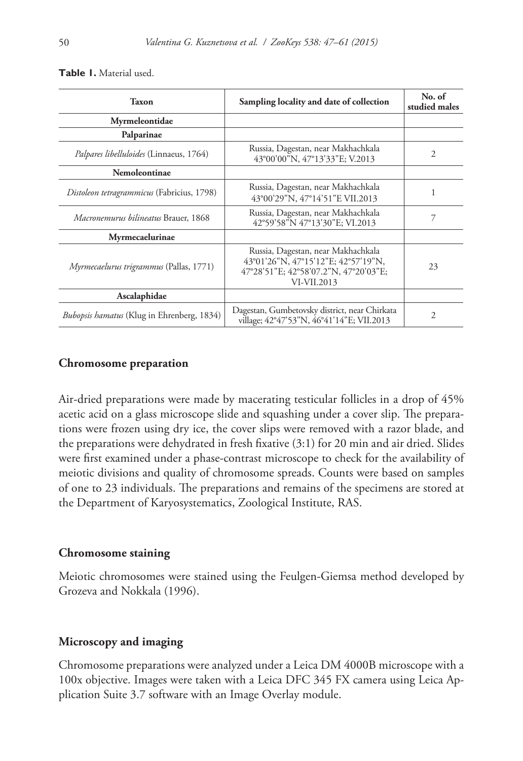| Taxon                                             | Sampling locality and date of collection                                                                                          | No. of<br>studied males |
|---------------------------------------------------|-----------------------------------------------------------------------------------------------------------------------------------|-------------------------|
| Myrmeleontidae                                    |                                                                                                                                   |                         |
| Palparinae                                        |                                                                                                                                   |                         |
| Palpares libelluloides (Linnaeus, 1764)           | Russia, Dagestan, near Makhachkala<br>43°00'00"N, 47°13'33"E; V.2013                                                              | 2                       |
| <b>Nemoleontinae</b>                              |                                                                                                                                   |                         |
| Distoleon tetragrammicus (Fabricius, 1798)        | Russia, Dagestan, near Makhachkala<br>43°00'29"N, 47°14'51"E VII.2013                                                             |                         |
| <i>Macronemurus bilineatus</i> Brauer, 1868       | Russia, Dagestan, near Makhachkala<br>42°59'58"N 47°13'30"E; VI.2013                                                              |                         |
| Myrmecaelurinae                                   |                                                                                                                                   |                         |
| Myrmecaelurus trigrammus (Pallas, 1771)           | Russia, Dagestan, near Makhachkala<br>43°01'26"N, 47°15'12"E; 42°57'19"N,<br>47°28'51"E; 42°58'07.2"N, 47°20'03"E;<br>VI-VII.2013 | 23                      |
| Ascalaphidae                                      |                                                                                                                                   |                         |
| <i>Bubopsis hamatus</i> (Klug in Ehrenberg, 1834) | Dagestan, Gumbetovsky district, near Chirkata<br>village; 42°47'53"N, 46°41'14"E; VII.2013                                        | 2                       |

**Table 1.** Material used.

# **Chromosome preparation**

Air-dried preparations were made by macerating testicular follicles in a drop of 45% acetic acid on a glass microscope slide and squashing under a cover slip. The preparations were frozen using dry ice, the cover slips were removed with a razor blade, and the preparations were dehydrated in fresh fixative (3:1) for 20 min and air dried. Slides were first examined under a phase-contrast microscope to check for the availability of meiotic divisions and quality of chromosome spreads. Counts were based on samples of one to 23 individuals. The preparations and remains of the specimens are stored at the Department of Karyosystematics, Zoological Institute, RAS.

## **Chromosome staining**

Meiotic chromosomes were stained using the Feulgen-Giemsa method developed by Grozeva and Nokkala (1996).

## **Microscopy and imaging**

Chromosome preparations were analyzed under a Leica DM 4000B microscope with a 100x objective. Images were taken with a Leica DFC 345 FX camera using Leica Application Suite 3.7 software with an Image Overlay module.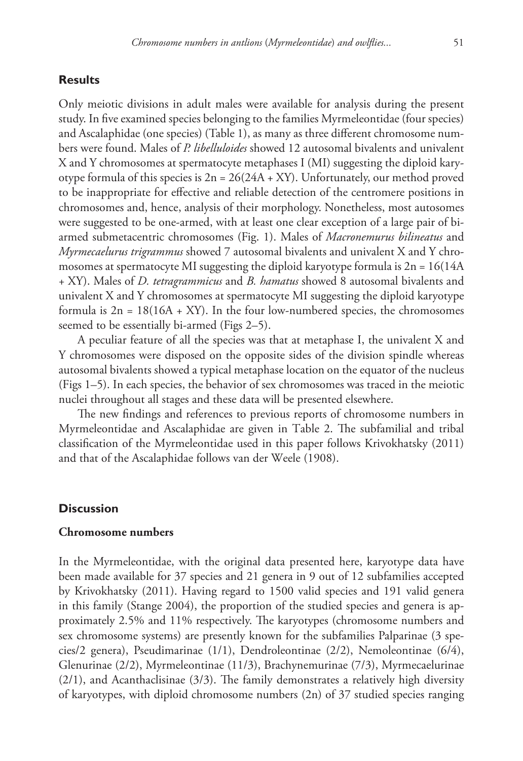# **Results**

Only meiotic divisions in adult males were available for analysis during the present study. In five examined species belonging to the families Myrmeleontidae (four species) and Ascalaphidae (one species) (Table 1), as many as three different chromosome numbers were found. Males of *P. libelluloides* showed 12 autosomal bivalents and univalent X and Y chromosomes at spermatocyte metaphases I (MI) suggesting the diploid karyotype formula of this species is  $2n = 26(24A + XY)$ . Unfortunately, our method proved to be inappropriate for effective and reliable detection of the centromere positions in chromosomes and, hence, analysis of their morphology. Nonetheless, most autosomes were suggested to be one-armed, with at least one clear exception of a large pair of biarmed submetacentric chromosomes (Fig. 1). Males of *Macronemurus bilineatus* and *Myrmecaelurus trigrammus* showed 7 autosomal bivalents and univalent X and Y chromosomes at spermatocyte MI suggesting the diploid karyotype formula is  $2n = 16(14A)$ + XY). Males of *D. tetragrammicus* and *B. hamatus* showed 8 autosomal bivalents and univalent X and Y chromosomes at spermatocyte MI suggesting the diploid karyotype formula is  $2n = 18(16A + XY)$ . In the four low-numbered species, the chromosomes seemed to be essentially bi-armed (Figs 2–5).

A peculiar feature of all the species was that at metaphase I, the univalent X and Y chromosomes were disposed on the opposite sides of the division spindle whereas autosomal bivalents showed a typical metaphase location on the equator of the nucleus (Figs 1–5). In each species, the behavior of sex chromosomes was traced in the meiotic nuclei throughout all stages and these data will be presented elsewhere.

The new findings and references to previous reports of chromosome numbers in Myrmeleontidae and Ascalaphidae are given in Table 2. The subfamilial and tribal classification of the Myrmeleontidae used in this paper follows Krivokhatsky (2011) and that of the Ascalaphidae follows van der Weele (1908).

# **Discussion**

#### **Chromosome numbers**

In the Myrmeleontidae, with the original data presented here, karyotype data have been made available for 37 species and 21 genera in 9 out of 12 subfamilies accepted by Krivokhatsky (2011). Having regard to 1500 valid species and 191 valid genera in this family (Stange 2004), the proportion of the studied species and genera is approximately 2.5% and 11% respectively. The karyotypes (chromosome numbers and sex chromosome systems) are presently known for the subfamilies Palparinae (3 species/2 genera), Pseudimarinae (1/1), Dendroleontinae (2/2), Nemoleontinae (6/4), Glenurinae (2/2), Myrmeleontinae (11/3), Brachynemurinae (7/3), Myrmecaelurinae (2/1), and Acanthaclisinae (3/3). The family demonstrates a relatively high diversity of karyotypes, with diploid chromosome numbers (2n) of 37 studied species ranging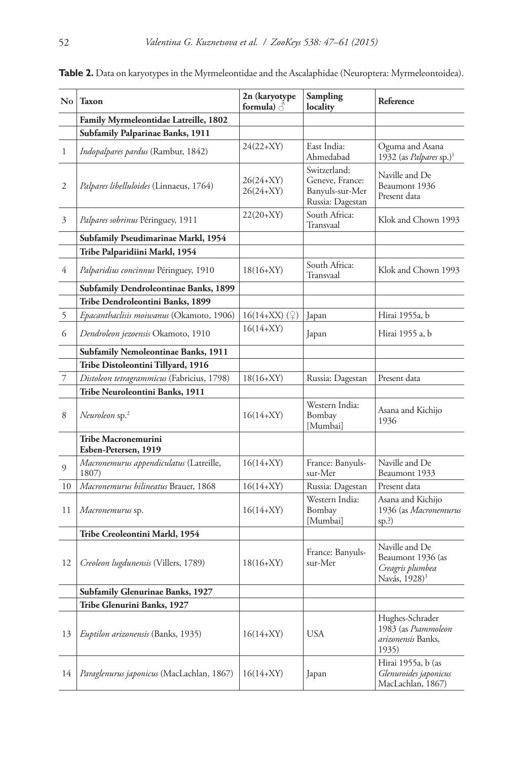| $\mathbf{N}\mathbf{o}$ | <b>Taxon</b>                                     | 2n (karyotype<br>formula) $\triangle$ | Sampling<br>locality                                                   | Reference                                                                            |
|------------------------|--------------------------------------------------|---------------------------------------|------------------------------------------------------------------------|--------------------------------------------------------------------------------------|
|                        | Family Myrmeleontidae Latreille, 1802            |                                       |                                                                        |                                                                                      |
|                        | Subfamily Palparinae Banks, 1911                 |                                       |                                                                        |                                                                                      |
| 1                      | Indopalpares pardus (Rambur, 1842)               | $24(22+XY)$                           | East India:<br>Ahmedabad                                               | Oguma and Asana<br>1932 (as Palpares sp.) <sup>1</sup>                               |
| 2                      | Palpares libelluloides (Linnaeus, 1764)          | 26(24+XY)<br>26(24+XY)                | Switzerland:<br>Geneve, France:<br>Banyuls-sur-Mer<br>Russia: Dagestan | Naville and De<br>Beaumont 1936<br>Present data                                      |
| 3                      | Palpares sobrinus Péringuey, 1911                | $22(20+XY)$                           | South Africa:<br>Transvaal                                             | Klok and Chown 1993                                                                  |
|                        | Subfamily Pseudimarinae Markl, 1954              |                                       |                                                                        |                                                                                      |
|                        | Tribe Palparidiini Markl, 1954                   |                                       |                                                                        |                                                                                      |
| 4                      | Palparidius concinnus Péringuey, 1910            | $18(16+XY)$                           | South Africa:<br>Transvaal                                             | Klok and Chown 1993                                                                  |
|                        | Subfamily Dendroleontinae Banks, 1899            |                                       |                                                                        |                                                                                      |
|                        | Tribe Dendroleontini Banks, 1899                 |                                       |                                                                        |                                                                                      |
| 5                      | Epacanthaclisis moiwanus (Okamoto, 1906)         | $16(14+XX)(\gamma)$                   | Japan                                                                  | Hirai 1955a, b                                                                       |
| 6                      | Dendroleon jezoensis Okamoto, 1910               | $16(14+XY)$                           | Japan                                                                  | Hirai 1955 a, b                                                                      |
|                        | Subfamily Nemoleontinae Banks, 1911              |                                       |                                                                        |                                                                                      |
|                        | Tribe Distoleontini Tillyard, 1916               |                                       |                                                                        |                                                                                      |
| 7                      | Distoleon tetragrammicus (Fabricius, 1798)       | $18(16+XY)$                           | Russia: Dagestan                                                       | Present data                                                                         |
|                        | Tribe Neuroleontini Banks, 1911                  |                                       |                                                                        |                                                                                      |
| 8                      | Neuroleon sp. <sup>2</sup>                       | $16(14+XY)$                           | Western India:<br>Bombay<br>[Mumbai]                                   | Asana and Kichijo<br>1936                                                            |
|                        | Tribe Macronemurini<br>Esben-Petersen, 1919      |                                       |                                                                        |                                                                                      |
| 9                      | Macronemurus appendiculatus (Latreille,<br>1807) | $16(14+XY)$                           | France: Banyuls-<br>sur-Mer                                            | Naville and De<br>Beaumont 1933                                                      |
| 10                     | Macronemurus bilineatus Brauer, 1868             | $16(14+XY)$                           | Russia: Dagestan                                                       | Present data                                                                         |
| 11                     | Macronemurus sp.                                 | $16(14+XY)$                           | Western India:<br>Bombay<br>[Mumbai]                                   | Asana and Kichijo<br>1936 (as Macronemurus<br>sp.?)                                  |
|                        | Tribe Creoleontini Markl, 1954                   |                                       |                                                                        |                                                                                      |
| 12                     | Creoleon lugdunensis (Villers, 1789)             | $18(16+XY)$                           | France: Banyuls-<br>sur-Mer                                            | Naville and De<br>Beaumont 1936 (as<br>Creagris plumbea<br>Navás, 1928) <sup>3</sup> |
|                        | Subfamily Glenurinae Banks, 1927                 |                                       |                                                                        |                                                                                      |
|                        | Tribe Glenurini Banks, 1927                      |                                       |                                                                        |                                                                                      |
| 13                     | Euptilon arizonensis (Banks, 1935)               | $16(14+XY)$                           | <b>USA</b>                                                             | Hughes-Schrader<br>1983 (as Psammoleon<br>arizonensis Banks,<br>1935)                |
| 14                     | Paraglenurus japonicus (MacLachlan, 1867)        | $16(14+XY)$                           | Japan                                                                  | Hirai 1955a, b (as<br>Glenuroides japonicus<br>MacLachlan, 1867)                     |

**Table 2.** Data on karyotypes in the Myrmeleontidae and the Ascalaphidae (Neuroptera: Myrmeleontoidea).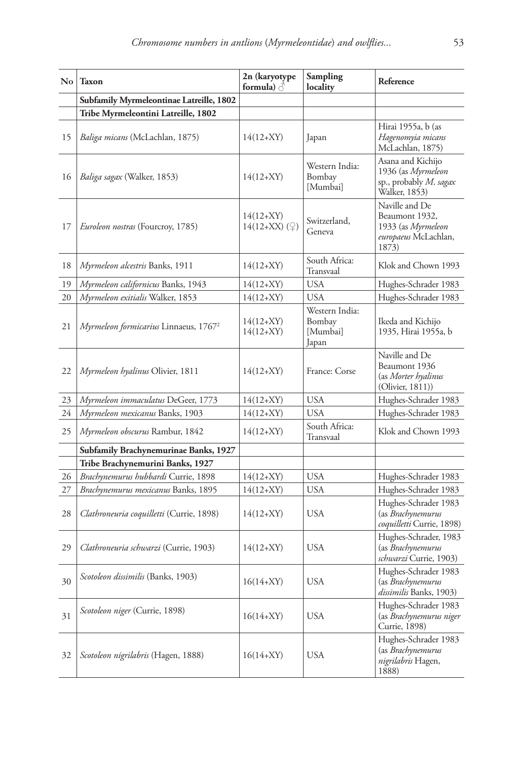| $\mathbf{N}\mathbf{o}$ | <b>Taxon</b>                                      | 2n (karyotype<br>formula) $\triangle$ | Sampling<br>locality                          | Reference                                                                               |
|------------------------|---------------------------------------------------|---------------------------------------|-----------------------------------------------|-----------------------------------------------------------------------------------------|
|                        | Subfamily Myrmeleontinae Latreille, 1802          |                                       |                                               |                                                                                         |
|                        | Tribe Myrmeleontini Latreille, 1802               |                                       |                                               |                                                                                         |
| 15                     | Baliga micans (McLachlan, 1875)                   | $14(12+XY)$                           | Japan                                         | Hirai 1955a, b (as<br>Hagenomyia micans<br>McLachlan, 1875)                             |
| 16                     | Baliga sagax (Walker, 1853)                       | $14(12+XY)$                           | Western India:<br>Bombay<br>[Mumbai]          | Asana and Kichijo<br>1936 (as Myrmeleon<br>sp., probably M. sagax<br>Walker, 1853)      |
| 17                     | Euroleon nostras (Fourcroy, 1785)                 | $14(12+XY)$<br>$14(12+XX)(9)$         | Switzerland,<br>Geneva                        | Naville and De<br>Beaumont 1932,<br>1933 (as Myrmeleon<br>europaeus McLachlan,<br>1873) |
| 18                     | Myrmeleon alcestris Banks, 1911                   | $14(12+XY)$                           | South Africa:<br>Transvaal                    | Klok and Chown 1993                                                                     |
| 19                     | Myrmeleon californicus Banks, 1943                | $14(12+XY)$                           | <b>USA</b>                                    | Hughes-Schrader 1983                                                                    |
| 20                     | Myrmeleon exitialis Walker, 1853                  | $14(12+XY)$                           | <b>USA</b>                                    | Hughes-Schrader 1983                                                                    |
| 21                     | Myrmeleon formicarius Linnaeus, 1767 <sup>2</sup> | $14(12+XY)$<br>$14(12+XY)$            | Western India:<br>Bombay<br>[Mumbai]<br>Japan | Ikeda and Kichijo<br>1935, Hirai 1955a, b                                               |
| 22                     | Myrmeleon hyalinus Olivier, 1811                  | $14(12+XY)$                           | France: Corse                                 | Naville and De<br>Beaumont 1936<br>(as Morter hyalinus<br>(Olivier, 1811))              |
| 23                     | Myrmeleon immaculatus DeGeer, 1773                | $14(12+XY)$                           | <b>USA</b>                                    | Hughes-Schrader 1983                                                                    |
| 24                     | Myrmeleon mexicanus Banks, 1903                   | $14(12+XY)$                           | <b>USA</b>                                    | Hughes-Schrader 1983                                                                    |
| 25                     | Myrmeleon obscurus Rambur, 1842                   | $14(12+XY)$                           | South Africa:<br>Transvaal                    | Klok and Chown 1993                                                                     |
|                        | Subfamily Brachynemurinae Banks, 1927             |                                       |                                               |                                                                                         |
|                        | Tribe Brachynemurini Banks, 1927                  |                                       |                                               |                                                                                         |
| 26                     | Brachynemurus hubbardi Currie, 1898               | $14(12+XY)$                           | <b>USA</b>                                    | Hughes-Schrader 1983                                                                    |
| 27                     | Brachynemurus mexicanus Banks, 1895               | $14(12+XY)$                           | <b>USA</b>                                    | Hughes-Schrader 1983                                                                    |
| 28                     | Clathroneuria coquilletti (Currie, 1898)          | $14(12+XY)$                           | <b>USA</b>                                    | Hughes-Schrader 1983<br>(as <i>Brachynemurus</i><br>coquilletti Currie, 1898)           |
| 29                     | Clathroneuria schwarzi (Currie, 1903)             | $14(12+XY)$                           | <b>USA</b>                                    | Hughes-Schrader, 1983<br>(as Brachynemurus<br><i>schwarzi</i> Currie, 1903)             |
| 30                     | Scotoleon dissimilis (Banks, 1903)                | $16(14+XY)$                           | USA                                           | Hughes-Schrader 1983<br>(as <i>Brachynemurus</i><br>dissimilis Banks, 1903)             |
| 31                     | Scotoleon niger (Currie, 1898)                    | $16(14+XY)$                           | <b>USA</b>                                    | Hughes-Schrader 1983<br>(as Brachynemurus niger<br>Currie, 1898)                        |
| 32                     | Scotoleon nigrilabris (Hagen, 1888)               | $16(14+XY)$                           | USA                                           | Hughes-Schrader 1983<br>(as <i>Brachynemurus</i><br>nigrilabris Hagen,<br>1888)         |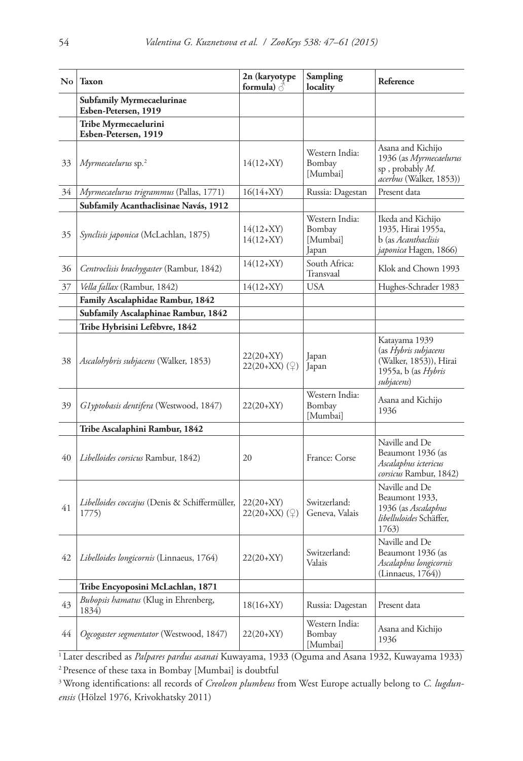| $\overline{N_0}$ | <b>Taxon</b>                                             | 2n (karyotype<br>formula) $\beta$       | Sampling<br>locality                          | Reference                                                                                            |
|------------------|----------------------------------------------------------|-----------------------------------------|-----------------------------------------------|------------------------------------------------------------------------------------------------------|
|                  | <b>Subfamily Myrmecaelurinae</b><br>Esben-Petersen, 1919 |                                         |                                               |                                                                                                      |
|                  | Tribe Myrmecaelurini<br>Esben-Petersen, 1919             |                                         |                                               |                                                                                                      |
| 33               | Myrmecaelurus sp. $2$                                    | $14(12+XY)$                             | Western India:<br>Bombay<br>[Mumbai]          | Asana and Kichijo<br>1936 (as Myrmecaelurus<br>sp, probably $M$ .<br>acerbus (Walker, 1853))         |
| 34               | Myrmecaelurus trigrammus (Pallas, 1771)                  | $16(14+XY)$                             | Russia: Dagestan                              | Present data                                                                                         |
|                  | Subfamily Acanthaclisinae Navás, 1912                    |                                         |                                               |                                                                                                      |
| 35               | <i>Synclisis japonica</i> (McLachlan, 1875)              | $14(12+XY)$<br>$14(12+XY)$              | Western India:<br>Bombay<br>[Mumbai]<br>Japan | Ikeda and Kichijo<br>1935, Hirai 1955a,<br>b (as <i>Acanthaclisis</i><br>japonica Hagen, 1866)       |
| 36               | Centroclisis brachygaster (Rambur, 1842)                 | $14(12+XY)$                             | South Africa:<br>Transvaal                    | Klok and Chown 1993                                                                                  |
| 37               | Vella fallax (Rambur, 1842)                              | $14(12+XY)$                             | <b>USA</b>                                    | Hughes-Schrader 1983                                                                                 |
|                  | Family Ascalaphidae Rambur, 1842                         |                                         |                                               |                                                                                                      |
|                  | Subfamily Ascalaphinae Rambur, 1842                      |                                         |                                               |                                                                                                      |
|                  | Tribe Hybrisini Lefèbvre, 1842                           |                                         |                                               |                                                                                                      |
| 38               | <i>Ascalohybris subjacens</i> (Walker, 1853)             | $22(20+XY)$<br>$22(20+XX)(\mathcal{Q})$ | Japan<br>Japan                                | Katayama 1939<br>(as Hybris subjacens<br>(Walker, 1853)), Hirai<br>1955a, b (as Hybris<br>subjacens) |
| 39               | Glyptobasis dentifera (Westwood, 1847)                   | $22(20+XY)$                             | Western India:<br>Bombay<br>[Mumbai]          | Asana and Kichijo<br>1936                                                                            |
|                  | Tribe Ascalaphini Rambur, 1842                           |                                         |                                               |                                                                                                      |
| 40               | <i>Libelloides corsicus</i> Rambur, 1842)                | 20                                      | France: Corse                                 | Naville and De<br>Beaumont 1936 (as<br>Ascalaphus ictericus<br>corsicus Rambur, 1842)                |
| 41               | Libelloides coccajus (Denis & Schiffermüller,<br>1775)   | $22(20+XY)$<br>$22(20+XX)(\mathcal{Q})$ | Switzerland:<br>Geneva, Valais                | Naville and De<br>Beaumont 1933,<br>1936 (as Ascalaphus<br>libelluloides Schäffer,<br>1763)          |
| 42               | Libelloides longicornis (Linnaeus, 1764)                 | $22(20+XY)$                             | Switzerland:<br>Valais                        | Naville and De<br>Beaumont 1936 (as<br>Ascalaphus longicornis<br>(Linnacus, 1764))                   |
|                  | Tribe Encyoposini McLachlan, 1871                        |                                         |                                               |                                                                                                      |
| 43               | Bubopsis hamatus (Klug in Ehrenberg,<br>1834)            | $18(16+XY)$                             | Russia: Dagestan                              | Present data                                                                                         |
| 44               | Ogcogaster segmentator (Westwood, 1847)                  | $22(20+XY)$                             | Western India:<br>Bombay<br>[Mumbai]          | Asana and Kichijo<br>1936                                                                            |

1 Later described as *Palpares pardus asanai* Kuwayama, 1933 (Oguma and Asana 1932, Kuwayama 1933) 2 Presence of these taxa in Bombay [Mumbai] is doubtful

3Wrong identifications: all records of *Creoleon plumbeus* from West Europe actually belong to *C. lugdunensis* (Hölzel 1976, Krivokhatsky 2011)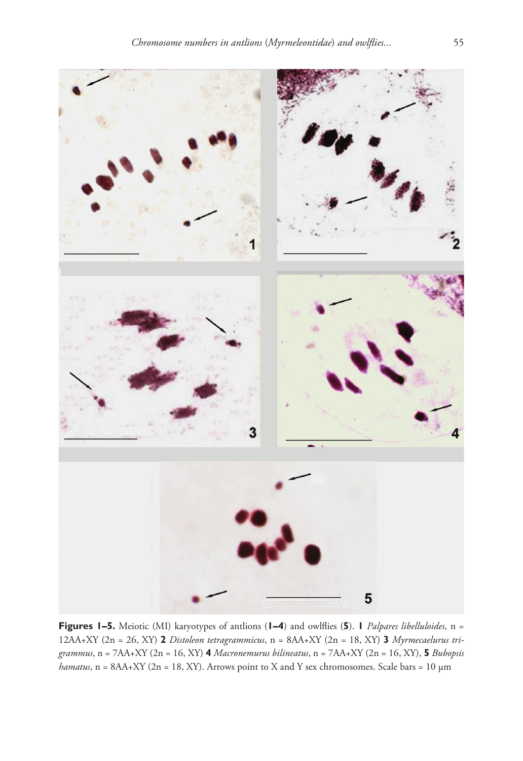

**Figures 1–5.** Meiotic (MI) karyotypes of antlions (**1–4**) and owlflies (**5**). **1** *Palpares libelluloides*, n = 12AA+XY (2n = 26, XY) **2** *Distoleon tetragrammicus*, n = 8AA+XY (2n = 18, XY) **3** *Myrmecaelurus trigrammus*, n = 7AA+XY (2n = 16, XY) **4** *Macronemurus bilineatus*, n = 7AA+XY (2n = 16, XY), **5** *Bubopsis*   $hamatus$ , n = 8AA+XY (2n = 18, XY). Arrows point to X and Y sex chromosomes. Scale bars = 10  $\mu$ m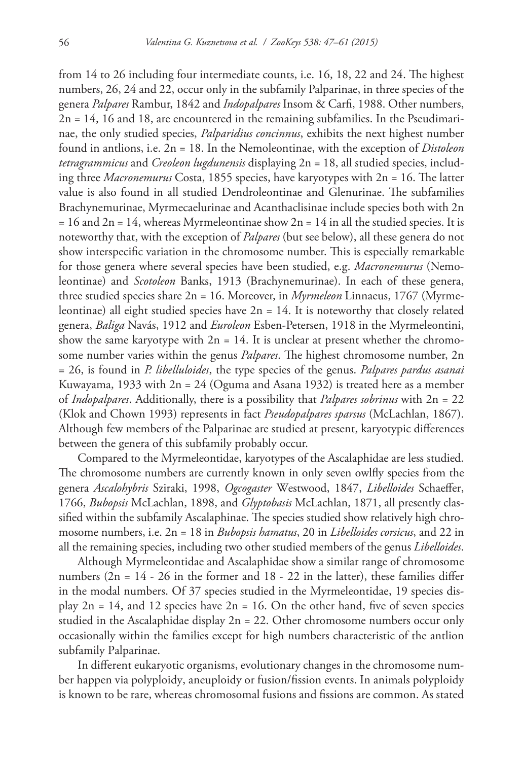from 14 to 26 including four intermediate counts, i.e. 16, 18, 22 and 24. The highest numbers, 26, 24 and 22, occur only in the subfamily Palparinae, in three species of the genera *Palpares* Rambur, 1842 and *Indopalpares* Insom & Carfi, 1988. Other numbers, 2n = 14, 16 and 18, are encountered in the remaining subfamilies. In the Pseudimarinae, the only studied species, *Palparidius concinnus*, exhibits the next highest number found in antlions, i.e. 2n = 18. In the Nemoleontinae, with the exception of *Distoleon tetragrammicus* and *Creoleon lugdunensis* displaying 2n = 18, all studied species, including three *Macronemurus* Costa, 1855 species, have karyotypes with 2n = 16. The latter value is also found in all studied Dendroleontinae and Glenurinae. The subfamilies Brachynemurinae, Myrmecaelurinae and Acanthaclisinae include species both with 2n  $= 16$  and  $2n = 14$ , whereas Myrmeleontinae show  $2n = 14$  in all the studied species. It is noteworthy that, with the exception of *Palpares* (but see below), all these genera do not show interspecific variation in the chromosome number. This is especially remarkable for those genera where several species have been studied, e.g. *Macronemurus* (Nemoleontinae) and *Scotoleon* Banks, 1913 (Brachynemurinae). In each of these genera, three studied species share 2n = 16. Moreover, in *Myrmeleon* Linnaeus, 1767 (Myrmeleontinae) all eight studied species have  $2n = 14$ . It is noteworthy that closely related genera, *Baliga* Navás, 1912 and *Euroleon* Esben-Petersen, 1918 in the Myrmeleontini, show the same karyotype with  $2n = 14$ . It is unclear at present whether the chromosome number varies within the genus *Palpares*. The highest chromosome number, 2n = 26, is found in *P. libelluloides*, the type species of the genus. *Palpares pardus asanai*  Kuwayama, 1933 with 2n = 24 (Oguma and Asana 1932) is treated here as a member of *Indopalpares*. Additionally, there is a possibility that *Palpares sobrinus* with 2n = 22 (Klok and Chown 1993) represents in fact *Pseudopalpares sparsus* (McLachlan, 1867). Although few members of the Palparinae are studied at present, karyotypic differences between the genera of this subfamily probably occur.

Compared to the Myrmeleontidae, karyotypes of the Ascalaphidae are less studied. The chromosome numbers are currently known in only seven owlfly species from the genera *Ascalohybris* Sziraki, 1998, *Ogcogaster* Westwood, 1847, *Libelloides* Schaeffer, 1766, *Bubopsis* McLachlan, 1898, and *Glyptobasis* McLachlan, 1871, all presently classified within the subfamily Ascalaphinae. The species studied show relatively high chromosome numbers, i.e. 2n = 18 in *Bubopsis hamatus*, 20 in *Libelloides corsicus*, and 22 in all the remaining species, including two other studied members of the genus *Libelloides*.

Although Myrmeleontidae and Ascalaphidae show a similar range of chromosome numbers  $(2n = 14 - 26)$  in the former and  $18 - 22$  in the latter), these families differ in the modal numbers. Of 37 species studied in the Myrmeleontidae, 19 species display  $2n = 14$ , and 12 species have  $2n = 16$ . On the other hand, five of seven species studied in the Ascalaphidae display  $2n = 22$ . Other chromosome numbers occur only occasionally within the families except for high numbers characteristic of the antlion subfamily Palparinae.

In different eukaryotic organisms, evolutionary changes in the chromosome number happen via polyploidy, aneuploidy or fusion/fission events. In animals polyploidy is known to be rare, whereas chromosomal fusions and fissions are common. As stated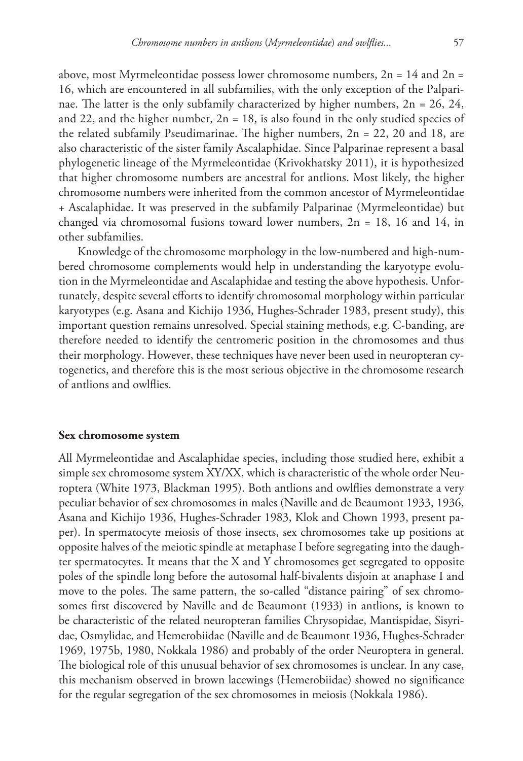above, most Myrmeleontidae possess lower chromosome numbers,  $2n = 14$  and  $2n =$ 16, which are encountered in all subfamilies, with the only exception of the Palparinae. The latter is the only subfamily characterized by higher numbers,  $2n = 26$ ,  $24$ , and 22, and the higher number,  $2n = 18$ , is also found in the only studied species of the related subfamily Pseudimarinae. The higher numbers,  $2n = 22$ , 20 and 18, are also characteristic of the sister family Ascalaphidae. Since Palparinae represent a basal phylogenetic lineage of the Myrmeleontidae (Krivokhatsky 2011), it is hypothesized that higher chromosome numbers are ancestral for antlions. Most likely, the higher chromosome numbers were inherited from the common ancestor of Myrmeleontidae + Ascalaphidae. It was preserved in the subfamily Palparinae (Myrmeleontidae) but changed via chromosomal fusions toward lower numbers, 2n = 18, 16 and 14, in other subfamilies.

Knowledge of the chromosome morphology in the low-numbered and high-numbered chromosome complements would help in understanding the karyotype evolution in the Myrmeleontidae and Ascalaphidae and testing the above hypothesis. Unfortunately, despite several efforts to identify chromosomal morphology within particular karyotypes (e.g. Asana and Kichijo 1936, Hughes-Schrader 1983, present study), this important question remains unresolved. Special staining methods, e.g. C-banding, are therefore needed to identify the centromeric position in the chromosomes and thus their morphology. However, these techniques have never been used in neuropteran cytogenetics, and therefore this is the most serious objective in the chromosome research of antlions and owlflies.

#### **Sex chromosome system**

All Myrmeleontidae and Ascalaphidae species, including those studied here, exhibit a simple sex chromosome system XY/XX, which is characteristic of the whole order Neuroptera (White 1973, Blackman 1995). Both antlions and owlflies demonstrate a very peculiar behavior of sex chromosomes in males (Naville and de Beaumont 1933, 1936, Asana and Kichijo 1936, Hughes-Schrader 1983, Klok and Chown 1993, present paper). In spermatocyte meiosis of those insects, sex chromosomes take up positions at opposite halves of the meiotic spindle at metaphase I before segregating into the daughter spermatocytes. It means that the X and Y chromosomes get segregated to opposite poles of the spindle long before the autosomal half-bivalents disjoin at anaphase I and move to the poles. The same pattern, the so-called "distance pairing" of sex chromosomes first discovered by Naville and de Beaumont (1933) in antlions, is known to be characteristic of the related neuropteran families Chrysopidae, Mantispidae, Sisyridae, Osmylidae, and Hemerobiidae (Naville and de Beaumont 1936, Hughes-Schrader 1969, 1975b, 1980, Nokkala 1986) and probably of the order Neuroptera in general. The biological role of this unusual behavior of sex chromosomes is unclear. In any case, this mechanism observed in brown lacewings (Hemerobiidae) showed no significance for the regular segregation of the sex chromosomes in meiosis (Nokkala 1986).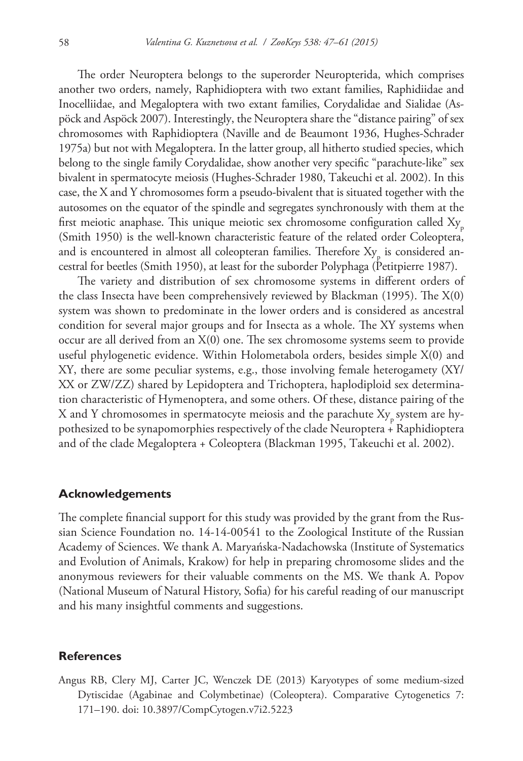The order Neuroptera belongs to the superorder Neuropterida, which comprises another two orders, namely, Raphidioptera with two extant families, Raphidiidae and Inocelliidae, and Megaloptera with two extant families, Corydalidae and Sialidae (Aspöck and Aspöck 2007). Interestingly, the Neuroptera share the "distance pairing" of sex chromosomes with Raphidioptera (Naville and de Beaumont 1936, Hughes-Schrader 1975a) but not with Megaloptera. In the latter group, all hitherto studied species, which belong to the single family Corydalidae, show another very specific "parachute-like" sex bivalent in spermatocyte meiosis (Hughes-Schrader 1980, Takeuchi et al. 2002). In this case, the X and Y chromosomes form a pseudo-bivalent that is situated together with the autosomes on the equator of the spindle and segregates synchronously with them at the first meiotic anaphase. This unique meiotic sex chromosome configuration called  $X_{y}$ (Smith 1950) is the well-known characteristic feature of the related order Coleoptera, and is encountered in almost all coleopteran families. Therefore  $\mathrm{Xy}_{\mathrm{p}}$  is considered ancestral for beetles (Smith 1950), at least for the suborder Polyphaga (Petitpierre 1987).

The variety and distribution of sex chromosome systems in different orders of the class Insecta have been comprehensively reviewed by Blackman (1995). The X(0) system was shown to predominate in the lower orders and is considered as ancestral condition for several major groups and for Insecta as a whole. The XY systems when occur are all derived from an X(0) one. The sex chromosome systems seem to provide useful phylogenetic evidence. Within Holometabola orders, besides simple X(0) and XY, there are some peculiar systems, e.g., those involving female heterogamety (XY/ XX or ZW/ZZ) shared by Lepidoptera and Trichoptera, haplodiploid sex determination characteristic of Hymenoptera, and some others. Of these, distance pairing of the X and Y chromosomes in spermatocyte meiosis and the parachute Xy system are hypothesized to be synapomorphies respectively of the clade Neuroptera + Raphidioptera and of the clade Megaloptera + Coleoptera (Blackman 1995, Takeuchi et al. 2002).

## **Acknowledgements**

The complete financial support for this study was provided by the grant from the Russian Science Foundation no. 14-14-00541 to the Zoological Institute of the Russian Academy of Sciences. We thank A. Maryańska-Nadachowska (Institute of Systematics and Evolution of Animals, Krakow) for help in preparing chromosome slides and the anonymous reviewers for their valuable comments on the MS. We thank A. Popov (National Museum of Natural History, Sofia) for his careful reading of our manuscript and his many insightful comments and suggestions.

#### **References**

Angus RB, Clery MJ, Carter JC, Wenczek DE (2013) Karyotypes of some medium-sized Dytiscidae (Agabinae and Colymbetinae) (Coleoptera). Comparative Cytogenetics 7: 171–190. [doi: 10.3897/CompCytogen.v7i2.5223](http://dx.doi.org/10.3897/CompCytogen.v7i2.5223)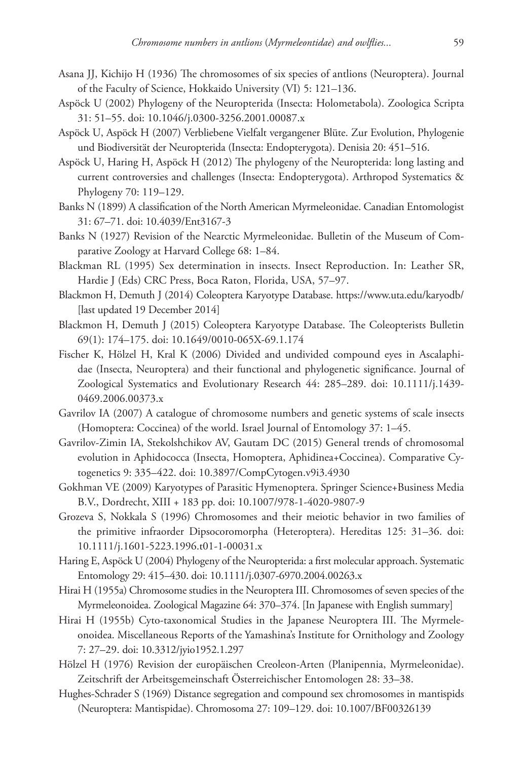- Asana JJ, Kichijo H (1936) The chromosomes of six species of antlions (Neuroptera). Journal of the Faculty of Science, Hokkaido University (VI) 5: 121–136.
- Aspöck U (2002) Phylogeny of the Neuropterida (Insecta: Holometabola). Zoologica Scripta 31: 51–55. [doi: 10.1046/j.0300-3256.2001.00087.x](http://dx.doi.org/10.1046/j.0300-3256.2001.00087.x)
- Aspöck U, Aspöck H (2007) Verbliebene Vielfalt vergangener Blüte. Zur Evolution, Phylogenie und Biodiversität der Neuropterida (Insecta: Endopterygota). Denisia 20: 451–516.
- Aspöck U, Haring H, Aspöck H (2012) The phylogeny of the Neuropterida: long lasting and current controversies and challenges (Insecta: Endopterygota). Arthropod Systematics & Phylogeny 70: 119–129.
- Banks N (1899) A classification of the North American Myrmeleonidae. Canadian Entomologist 31: 67–71. [doi: 10.4039/Ent3167-3](http://dx.doi.org/10.4039/Ent3167-3)
- Banks N (1927) Revision of the Nearctic Myrmeleonidae. Bulletin of the Museum of Comparative Zoology at Harvard College 68: 1–84.
- Blackman RL (1995) Sex determination in insects. Insect Reproduction. In: Leather SR, Hardie J (Eds) CRC Press, Boca Raton, Florida, USA, 57–97.
- Blackmon H, Demuth J (2014) Coleoptera Karyotype Database. <https://www.uta.edu/karyodb/> [last updated 19 December 2014]
- Blackmon H, Demuth J (2015) Coleoptera Karyotype Database. The Coleopterists Bulletin 69(1): 174–175. [doi: 10.1649/0010-065X-69.1.174](http://dx.doi.org/10.1649/0010-065X-69.1.174)
- Fischer K, Hölzel H, Kral K (2006) Divided and undivided compound eyes in Ascalaphidae (Insecta, Neuroptera) and their functional and phylogenetic significance. Journal of Zoological Systematics and Evolutionary Research 44: 285–289. [doi: 10.1111/j.1439-](http://dx.doi.org/10.1111/j.1439-0469.2006.00373.x) [0469.2006.00373.x](http://dx.doi.org/10.1111/j.1439-0469.2006.00373.x)
- Gavrilov IA (2007) A catalogue of chromosome numbers and genetic systems of scale insects (Homoptera: Coccinea) of the world. Israel Journal of Entomology 37: 1–45.
- Gavrilov-Zimin IA, Stekolshchikov AV, Gautam DC (2015) General trends of chromosomal evolution in Aphidococca (Insecta, Homoptera, Aphidinea+Coccinea). Comparative Cytogenetics 9: 335–422. [doi: 10.3897/CompCytogen.v9i3.4930](http://dx.doi.org/10.3897/CompCytogen.v9i3.4930)
- Gokhman VE (2009) Karyotypes of Parasitic Hymenoptera. Springer Science+Business Media B.V., Dordrecht, XIII + 183 pp. [doi: 10.1007/978-1-4020-9807-9](http://dx.doi.org/10.1007/978-1-4020-9807-9)
- Grozeva S, Nokkala S (1996) Chromosomes and their meiotic behavior in two families of the primitive infraorder Dipsocoromorpha (Heteroptera). Hereditas 125: 31–36. [doi:](http://dx.doi.org/10.1111/j.1601-5223.1996.t01-1-00031.x) [10.1111/j.1601-5223.1996.t01-1-00031.x](http://dx.doi.org/10.1111/j.1601-5223.1996.t01-1-00031.x)
- Haring E, Aspöck U (2004) Phylogeny of the Neuropterida: a first molecular approach. Systematic Entomology 29: 415–430. [doi: 10.1111/j.0307-6970.2004.00263.x](http://dx.doi.org/10.1111/j.0307-6970.2004.00263.x)
- Hirai H (1955a) Chromosome studies in the Neuroptera III. Chromosomes of seven species of the Myrmeleonoidea. Zoological Magazine 64: 370–374. [In Japanese with English summary]
- Hirai H (1955b) Cyto-taxonomical Studies in the Japanese Neuroptera III. The Myrmeleonoidea. Miscellaneous Reports of the Yamashina's Institute for Ornithology and Zoology 7: 27–29. [doi: 10.3312/jyio1952.1.297](http://dx.doi.org/10.3312/jyio1952.1.297)
- Hölzel H (1976) Revision der europäischen Creoleon-Arten (Planipennia, Myrmeleonidae). Zeitschrift der Arbeitsgemeinschaft Österreichischer Entomologen 28: 33–38.
- Hughes-Schrader S (1969) Distance segregation and compound sex chromosomes in mantispids (Neuroptera: Mantispidae). Chromosoma 27: 109–129. [doi: 10.1007/BF00326139](http://dx.doi.org/10.1007/BF00326139)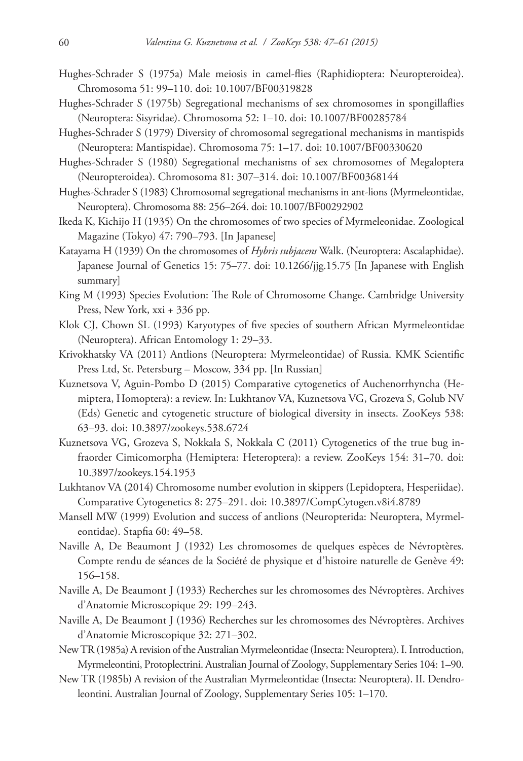- Hughes-Schrader S (1975a) Male meiosis in camel-flies (Raphidioptera: Neuropteroidea). Chromosoma 51: 99–110. [doi: 10.1007/BF00319828](http://dx.doi.org/10.1007/BF00319828)
- Hughes-Schrader S (1975b) Segregational mechanisms of sex chromosomes in spongillaflies (Neuroptera: Sisyridae). Chromosoma 52: 1–10. [doi: 10.1007/BF00285784](http://dx.doi.org/10.1007/BF00285784)
- Hughes-Schrader S (1979) Diversity of chromosomal segregational mechanisms in mantispids (Neuroptera: Mantispidae). Chromosoma 75: 1–17. [doi: 10.1007/BF00330620](http://dx.doi.org/10.1007/BF00330620)
- Hughes-Schrader S (1980) Segregational mechanisms of sex chromosomes of Megaloptera (Neuropteroidea). Chromosoma 81: 307–314. [doi: 10.1007/BF00368144](http://dx.doi.org/10.1007/BF00368144)
- Hughes-Schrader S (1983) Chromosomal segregational mechanisms in ant-lions (Myrmeleontidae, Neuroptera). Chromosoma 88: 256–264. [doi: 10.1007/BF00292902](http://dx.doi.org/10.1007/BF00292902)
- Ikeda K, Kichijo H (1935) On the chromosomes of two species of Myrmeleonidae. Zoological Magazine (Tokyo) 47: 790–793. [In Japanese]
- Katayama H (1939) On the chromosomes of *Hybris subjacens* Walk. (Neuroptera: Ascalaphidae). Japanese Journal of Genetics 15: 75–77. [doi: 10.1266/jjg.15.75](http://dx.doi.org/10.1266/jjg.15.75) [In Japanese with English summary]
- King M (1993) Species Evolution: The Role of Chromosome Change. Cambridge University Press, New York, xxi + 336 pp.
- Klok CJ, Chown SL (1993) Karyotypes of five species of southern African Myrmeleontidae (Neuroptera). African Entomology 1: 29–33.
- Krivokhatsky VA (2011) Antlions (Neuroptera: Myrmeleontidae) of Russia. KMK Scientific Press Ltd, St. Petersburg – Moscow, 334 pp. [In Russian]
- Kuznetsova V, Aguin-Pombo D (2015) Comparative cytogenetics of Auchenorrhyncha (Hemiptera, Homoptera): a review. In: Lukhtanov VA, Kuznetsova VG, Grozeva S, Golub NV (Eds) Genetic and cytogenetic structure of biological diversity in insects. ZooKeys 538: 63–93. [doi: 10.3897/zookeys.538.6724](http://dx.doi.org/10.3897/zookeys.538.6724)
- Kuznetsova VG, Grozeva S, Nokkala S, Nokkala C (2011) Cytogenetics of the true bug infraorder Cimicomorpha (Hemiptera: Heteroptera): a review. ZooKeys 154: 31–70. [doi:](http://dx.doi.org/10.3897/zookeys.154.1953) [10.3897/zookeys.154.1953](http://dx.doi.org/10.3897/zookeys.154.1953)
- Lukhtanov VA (2014) Chromosome number evolution in skippers (Lepidoptera, Hesperiidae). Comparative Cytogenetics 8: 275–291. [doi: 10.3897/CompCytogen.v8i4.8789](http://dx.doi.org/10.3897/CompCytogen.v8i4.8789)
- Mansell MW (1999) Evolution and success of antlions (Neuropterida: Neuroptera, Myrmeleontidae). Stapfia 60: 49–58.
- Naville A, De Beaumont J (1932) Les chromosomes de quelques espèces de Névroptères. Compte rendu de séances de la Société de physique et d'histoire naturelle de Genève 49: 156–158.
- Naville A, De Beaumont J (1933) Recherches sur les chromosomes des Névroptères. Archives d'Anatomie Microscopique 29: 199–243.
- Naville A, De Beaumont J (1936) Recherches sur les chromosomes des Névroptères. Archives d'Anatomie Microscopique 32: 271–302.
- New TR (1985a) A revision of the Australian Myrmeleontidae (Insecta: Neuroptera). I. Introduction, Myrmeleontini, Protoplectrini. Australian Journal of Zoology, Supplementary Series 104: 1–90.
- New TR (1985b) A revision of the Australian Myrmeleontidae (Insecta: Neuroptera). II. Dendroleontini. Australian Journal of Zoology, Supplementary Series 105: 1–170.